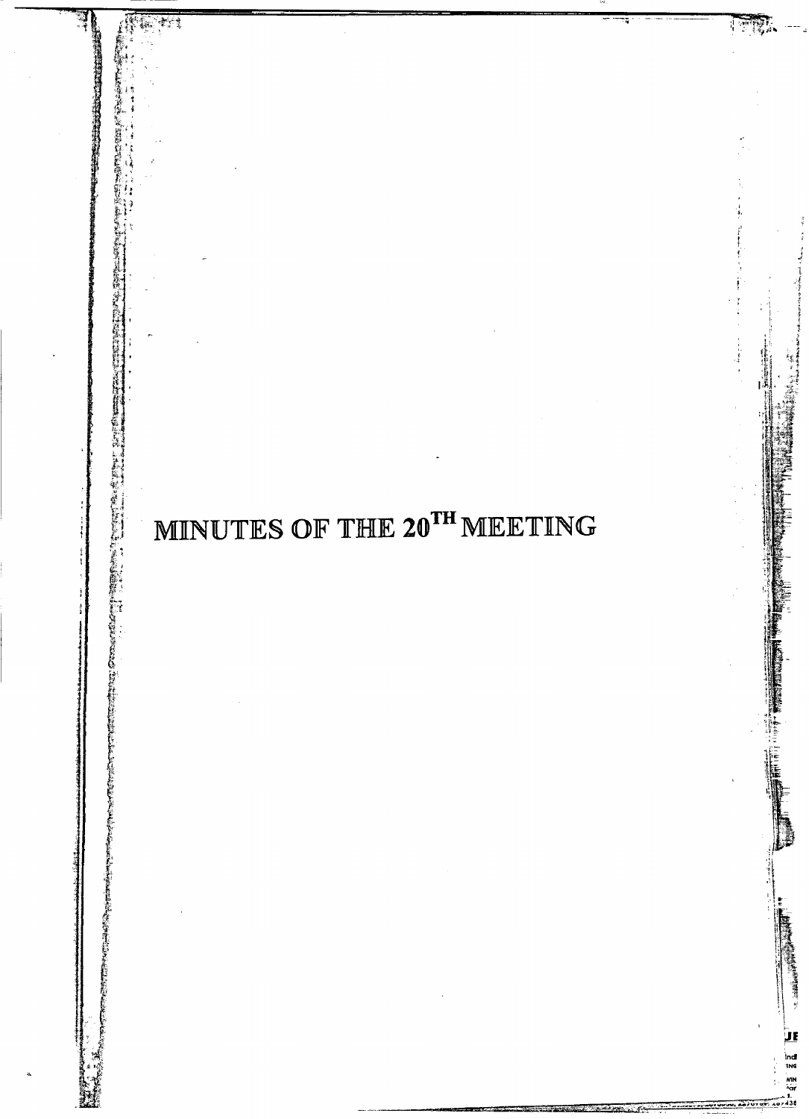# MINUTES OF THE 20TH MEETING

<u>JF</u>

ndi<br>ING<br>'ar

 $-1$ 

医盐酸乙基苯基的 地名埃德拉瑟德特罗

「今回の「その「そのこと」という。 この「そのこと」という。 この「そのことは、「そのこと」という。 この「そのこと」という。 この「そのこと」という。 この「そのこと」と、「「」「」「」「」「」「」 」「」「」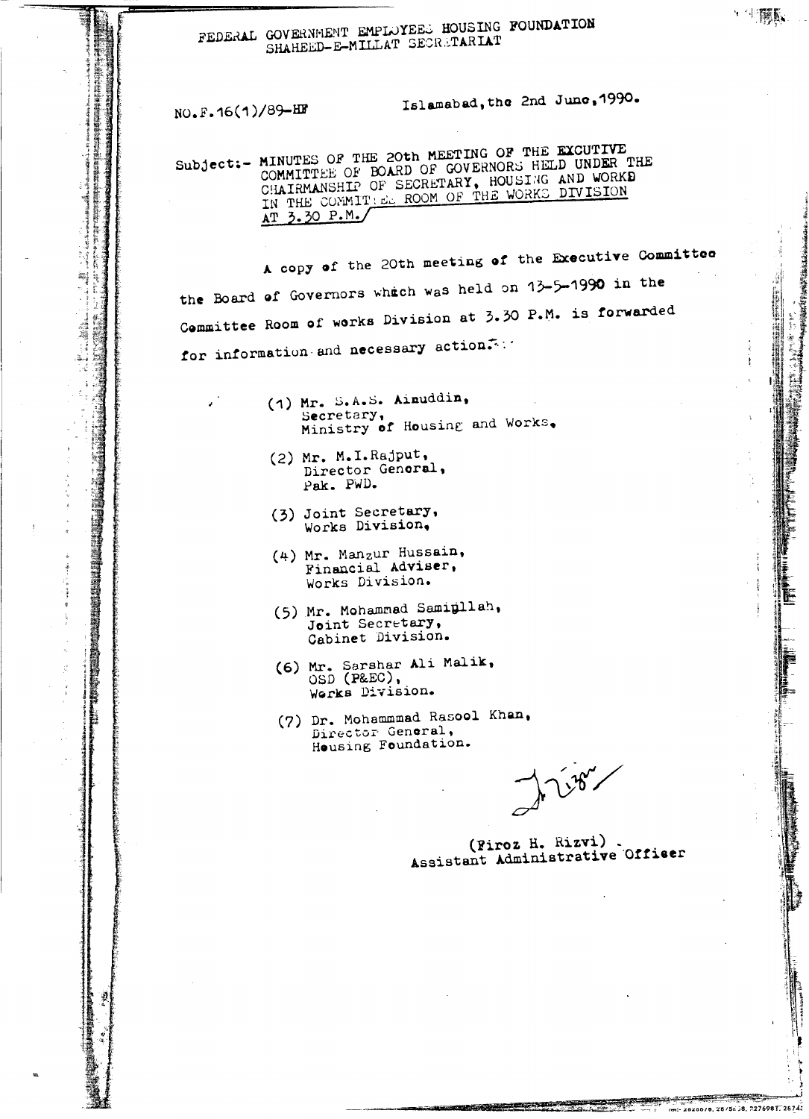## FEDERAL GOVERNMENT EMPLOYEES HOUSING FOUNDATION SHAHEED-E-MILLAT SECRETARIAT

NO.F.16(1)/89-HF

 $\mathbf{z}^{\mathcal{A}}$ 

事実を

Ĩ ň

W 螽

Islamabad, the 2nd June, 1990.

一生體系

i:- 28286/8, 28/5=38, 2276981, 28743

Subject:- MINUTES OF THE 20th MEETING OF THE EXCUTIVE COMMITTEE OF BOARD OF GOVERNORS HELD UNDER THE COMMITTEE OF BOARD OF GOVERNORS HELD UNDER THE CHAIRMANSHIP OF SECRETARY, HOUSING AND WORKD AT 3.30 P.M./

A copy of the 20th meeting of the Executive Committee the Board of Governors which was held on 13-5-1990 in the Committee Room of works Division at 3.30 P.M. is forwarded for information and necessary action.

- (1) Mr. S.A.S. Aimuddin, Secretary, Ministry of Housing and Works.
- (2) Mr. M.I.Rajput, Director General, Pak. PWD.
- (3) Joint Secretary, Works Division.
- (4) Mr. Manzur Hussain, Financial Adviser, Works Division.
- (5) Mr. Mohammad Samigllah, Joint Secretary, Cabinet Division.
- (6) Mr. Sarshar Ali Malik,<br>OSD (P&EC), Works Division.
- (7) Dr. Mohammmad Rasool Khan, Director General, Housing Foundation.

1187

(Firoz H. Rizvi). Assistant Administrative Officer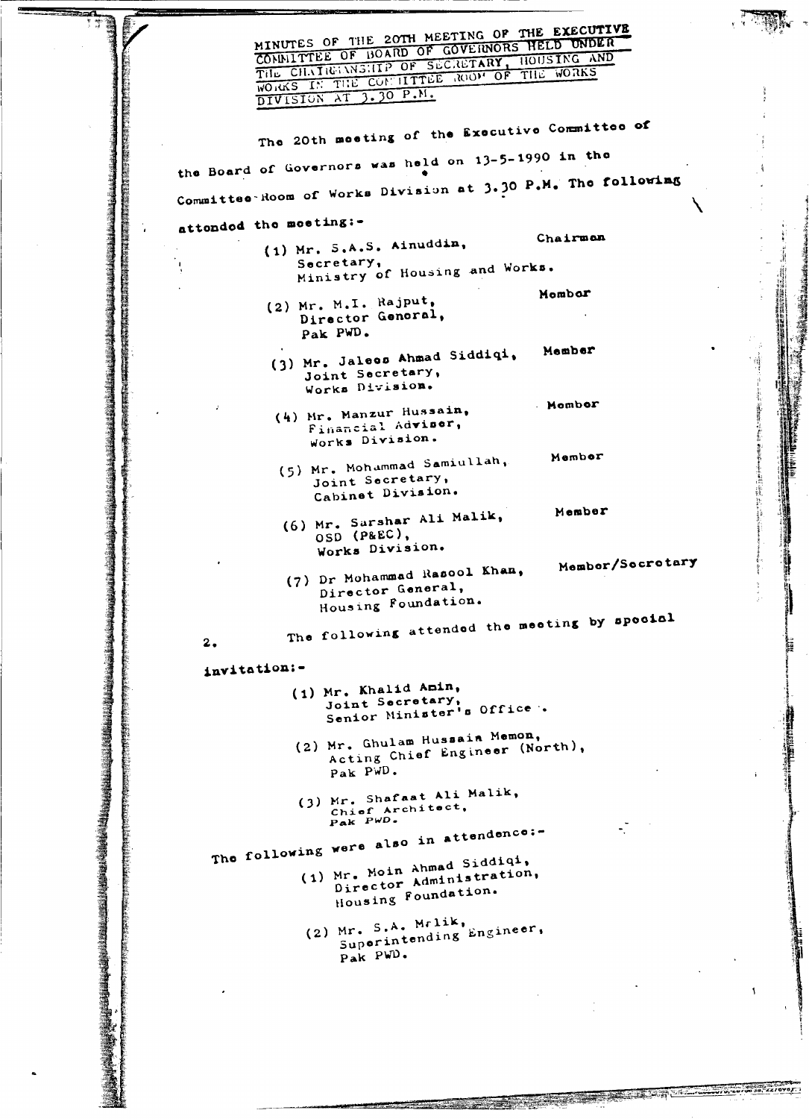|           | CONNITTEE OF BOARD OF GOVERNORS HELD UNDER<br>THE CHAINSMILLE OF SECRETARY, HOUSING AND<br>WORKS IN THE CONTITTEE ROOM OF THE WORKS |  |
|-----------|-------------------------------------------------------------------------------------------------------------------------------------|--|
|           | DIVISION AT 3.30 P.M.                                                                                                               |  |
|           | The 20th meeting of the Executive Committee of                                                                                      |  |
|           | the Board of Governors was held on 13-5-1990 in the                                                                                 |  |
|           | Committee Room of Works Division at 3.30 P.M. The following                                                                         |  |
| $\bullet$ | attonded the meeting:-                                                                                                              |  |
|           | Chairman<br>$(1)$ Mr. S.A.S. Ainuddin,                                                                                              |  |
|           | Secretary,<br>Ministry of Housing and Works.                                                                                        |  |
|           | Mombor<br>$(2)$ Mr. M.I. Rajput,                                                                                                    |  |
|           | Director General,<br>Pak PWD.                                                                                                       |  |
|           | Member<br>(3) Mr. Jaleos Ahmad Siddiqi,                                                                                             |  |
|           | Joint Secretary,<br>Works Division.                                                                                                 |  |
|           | Mombor<br>(4) Mr. Manzur Hussain,                                                                                                   |  |
|           | Financial Adviser,<br>Works Division.                                                                                               |  |
|           | Member<br>(5) Mr. Mohammad Samiullah,                                                                                               |  |
|           | Joint Secretary,<br>Cabinet Division.                                                                                               |  |
|           | Member<br>(6) Mr. Sarshar Ali Malik,                                                                                                |  |
|           | OSD (P&EC),                                                                                                                         |  |
|           | Works Division.<br>Member/Secretary                                                                                                 |  |
|           | (7) Dr Mohammad Rasool Khan,<br>Director General,<br>Housing Foundation.                                                            |  |
|           | The following attended the meeting by special<br>2.                                                                                 |  |
|           | invitation:-                                                                                                                        |  |
|           | (1) Mr. Khalid Amin,<br>Joint Secretary,<br>Senior Minister's Office.                                                               |  |
|           | (2) Mr. Ghulam Hussain Memon,<br>Acting Chief Engineer (North),                                                                     |  |
|           | Pak PWD.                                                                                                                            |  |
|           | (3) Mr. Shafaat Ali Malik,<br>Chief Architect,<br>Pak PwD.                                                                          |  |
|           | The following were also in attendence:-                                                                                             |  |
|           | (1) Mr. Moin Ahmad Siddiqi,<br>Director Administration,<br>Housing Foundation.                                                      |  |
|           | $(2)$ Mr. S.A. Mrlik,<br>Superintending Engineer,<br>Pak PWD.                                                                       |  |
|           |                                                                                                                                     |  |
|           |                                                                                                                                     |  |
|           |                                                                                                                                     |  |
|           |                                                                                                                                     |  |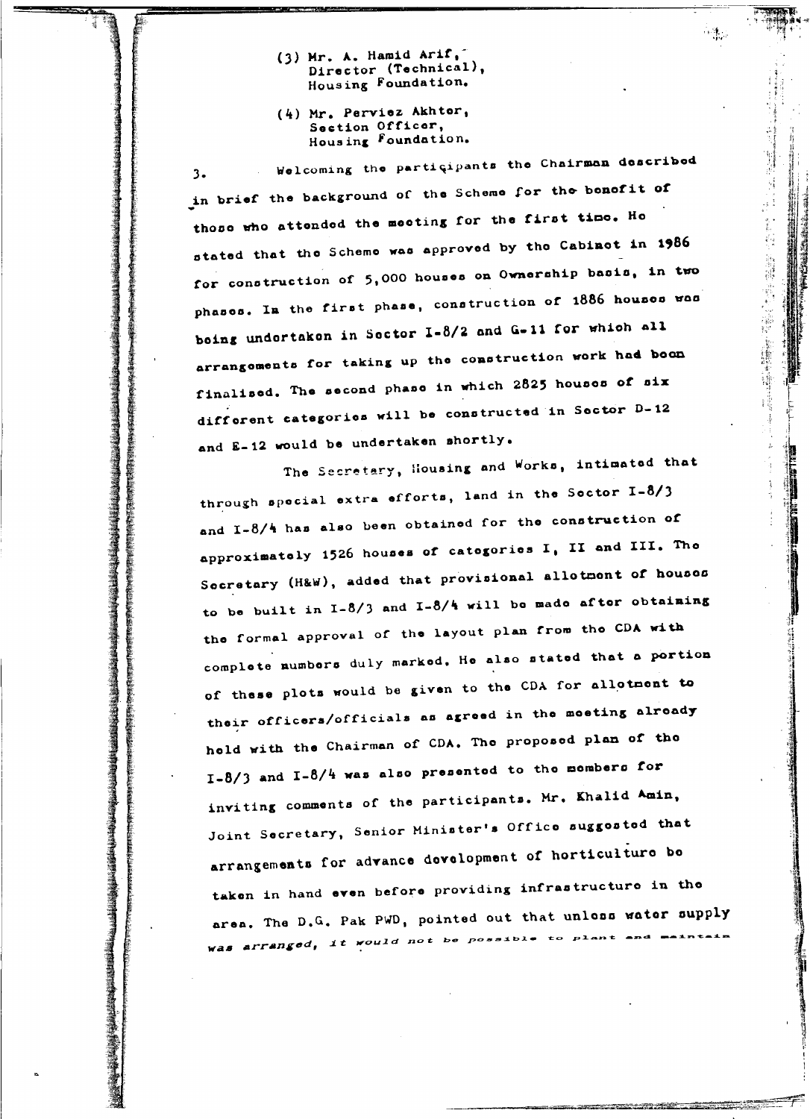- (3) Mr. A. Hamid Arif, Director (Technical), Housing Foundation.
- (4) Mr. Perviez Akhter, Section Officer, Housing Foundation.

Welcoming the participants the Chairman described  $3.$ in brief the background of the Scheme for the bonofit of those who attended the meeting for the first time. He stated that the Scheme was approved by the Cabinet in 1986 for construction of 5,000 houses on Ownership basis, in two phases. In the first phase, construction of 1886 houses was boing undertaken in Sector I-8/2 and G-11 for which all arrangoments for taking up the construction work had boom finalised. The second phase in which 2825 houses of six different categories will be constructed in Sector D-12 and E-12 would be undertaken shortly.

 $\frac{1}{2}$ 

ia<br>Vite<br>Vite

 $\begin{bmatrix} \mathbf{1} & \mathbf{1} & \mathbf{1} \\ \mathbf{1} & \mathbf{1} & \mathbf{1} \\ \mathbf{1} & \mathbf{1} & \mathbf{1} \\ \mathbf{1} & \mathbf{1} & \mathbf{1} \end{bmatrix}$ 

- 新建学

1988年,1988年1月,1988年,1988年,1988年,1988年,1988年,1988年,1988年,1988年,1988年,1988年,1988年,1988年,1988年,1988年,19

The Secretary, Housing and Works, intimated that through special extra efforts, land in the Sector I-8/3 and I-8/4 has also been obtained for the construction of approximately 1526 houses of categories I, II and III. The Secretary (H&W), added that provisional allotment of houses to be built in  $1-8/3$  and  $1-8/4$  will be made after obtaining the formal approval of the layout plan from the CDA with complete numbers duly marked. He also stated that a portion of these plots would be given to the CDA for allotment to their officers/officials as agreed in the moeting already hold with the Chairman of CDA. The proposed plan of the  $I-8/3$  and  $I-8/4$  was also presented to the members for inviting comments of the participants. Mr. Khalid Amin, Joint Secretary, Senior Minister's Office suggested that arrangements for advance development of horticulture be taken in hand even before providing infrastructure in the area. The D.G. Pak PWD, pointed out that unloss water supply was arranged, it would not be possible to plant and maintain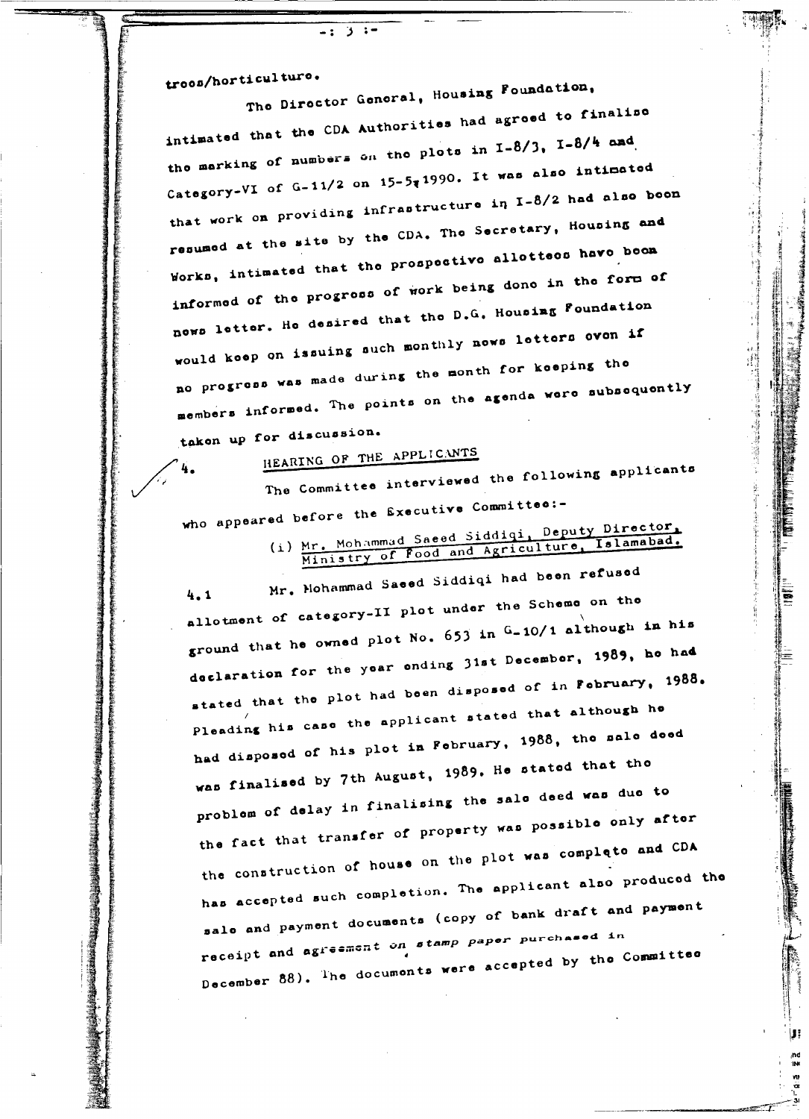troos/horticulturo.

The Director General, Housing Foundation, intimated that the CDA Authorities had agreed to finalise the marking of numbers on the plots in I-8/3, I-8/4 and Category-VI of G-11/2 on 15-5;1990. It was also intimated that work on providing infrastructure in I-8/2 had also been resumed at the site by the CDA. The Secretary, Housing and Works, intimated that the prospective allottees have been informed of the progress of work being done in the form of nows letter. He desired that the D.G. Housing Foundation would keep on issuing such monthly news letters even if no progress was made during the month for keeping the members informed. The points on the agenda were subsequently taken up for discussion.

HEARING OF THE APPLICANTS

Э

The Committee interviewed the following applicants who appeared before the Executive Committee:-

(i) Mr. Mohammad Saeed Siddigi, Deputy Director, Ministry of Food and Agriculture, Islamabad.

IJ.

Mr. Mohammad Saeed Siddiqi had been refused  $4.1$ allotment of category-II plot under the Scheme on the ground that he owned plot No. 653 in G-10/1 although in his declaration for the year ending 31st December, 1989, he had stated that the plot had been disposed of in February, 1988. Pleading his case the applicant stated that although he had disposed of his plot in February, 1988, the sale deed was finalised by 7th August, 1989. He stated that the problem of delay in finalising the sale deed was due to the fact that transfer of property was possible only after the construction of house on the plot was complete and CDA has accepted such completion. The applicant also produced the sale and payment documents (copy of bank draft and payment receipt and agreement on stamp paper purchased in December 88). The documents were accepted by the Committee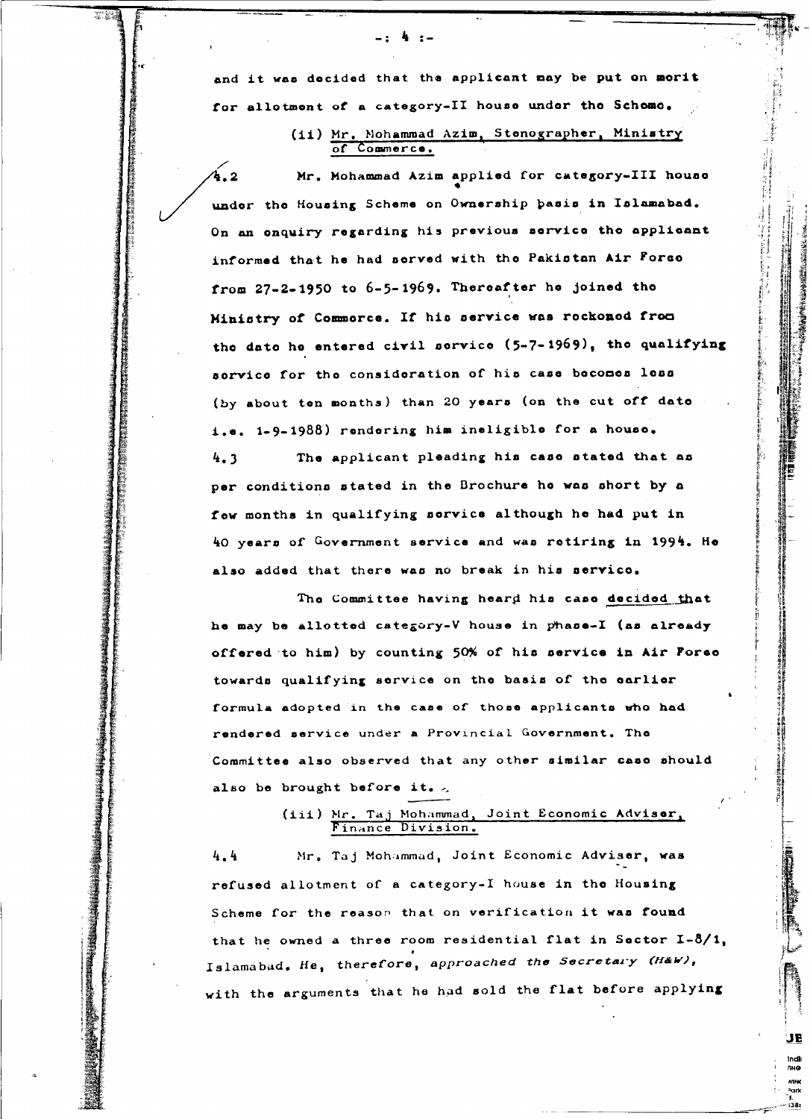and it was decided that the applicant may be put on morit for allotment of a category-II house under the Scheme.

-- 4 --

### (ii) Mr. Mohammad Azim, Stenographer, Ministry of Commerce.

Mr. Mohammad Azim applied for category-III house under the Housing Scheme on Ownership basis in Islamabad. On an enquiry regarding his previous service the applicant informed that he had served with the Pakistan Air Forse from 27-2-1950 to 6-5-1969. Thereafter he joined the Ministry of Commorce. If his service was reckoned from the date he entered civil service (5-7-1969), the qualifying service for the consideration of his case becomes less (by about ten months) than 20 years (on the cut off date i.e. 1-9-1988) rendering him ineligible for a house. The applicant pleading his case stated that as  $4.3$ per conditions stated in the Brochure he was short by a fow months in qualifying sorvice although he had put in 40 years of Government service and was retiring in 1994. He also added that there was no break in his servico.

The Committee having heard his case decided that he may be allotted category-V house in phase-I (as already offered to him) by counting 50% of his service in Air Forse towards qualifying service on the basis of the earlier formula adopted in the case of those applicants who had rendered service under a Provincial Government. The Committee also observed that any other similar case should also be brought before it.

## (iii) Mr. Taj Mohammad, Joint Economic Adviser,

Mr. Taj Mohammad, Joint Economic Adviser, was  $4.4$ refused allotment of a category-I house in the Housing Scheme for the reason that on verification it was found that he owned a three room residential flat in Sector I-8/1, Islamabad. He, therefore, approached the Secretary (H&W), with the arguments that he had sold the flat before applying

> JE indli<br><sub>NNG</sub>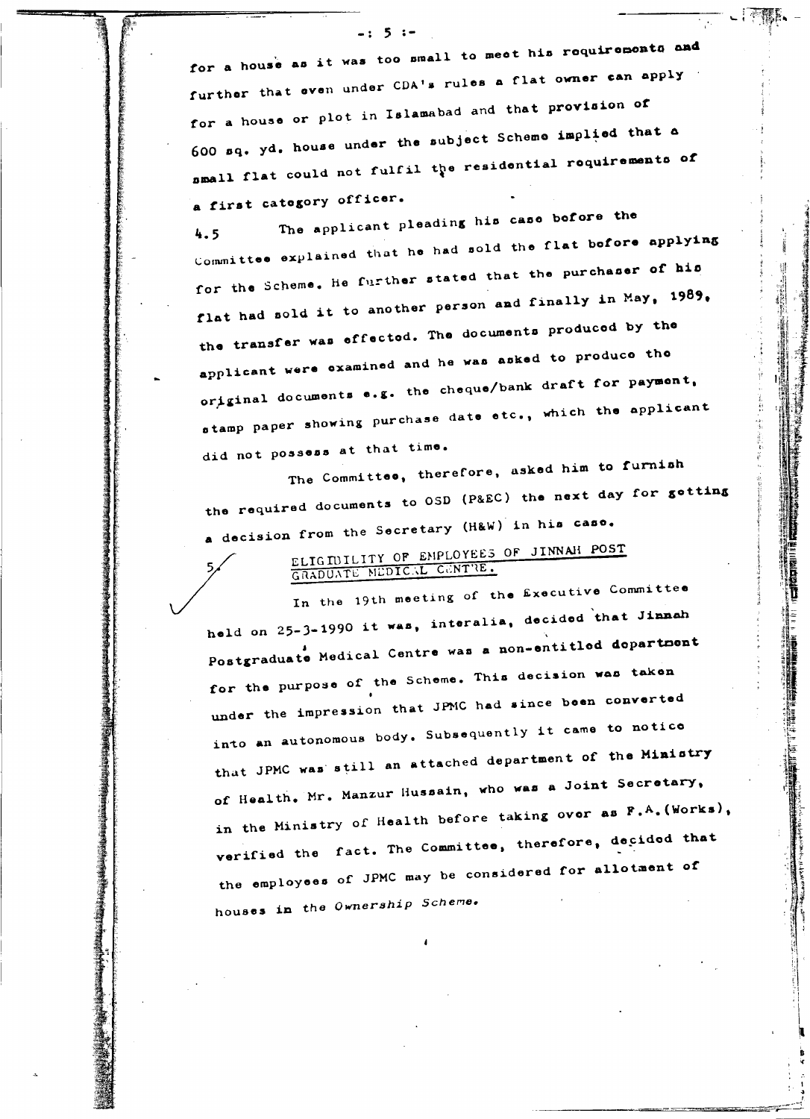for a house as it was too small to meet his requirements and further that even under CDA's rules a flat owner can apply for a house or plot in Islamabad and that provision of 600 sq. yd. house under the subject Scheme implied that a nmall flat could not fulfil the residential requirements of a first category officer.

 $-: 5:$ 

The applicant pleading his case before the 4.5 Committee explained that he had sold the flat before applying for the Scheme. He further stated that the purchaser of his flat had sold it to another person and finally in May, 1989, the transfer was effected. The documents produced by the applicant were examined and he was asked to produce the original documents e.g. the cheque/bank draft for payment, stamp paper showing purchase date etc., which the applicant did not possess at that time.

The Committee, therefore, asked him to furnish the required documents to OSD (P&EC) the next day for getting a decision from the Secretary (H&W) in his caso.

ELIGIBILITY OF EMPLOYEES OF JINNAH POST GRADUATE MEDICAL CENTRE.

In the 19th meeting of the Executive Committee held on 25-3-1990 it was, interalia, decided that Jinnah Postgraduate Medical Centre was a non-entitled department for the purpose of the Scheme. This decision was taken under the impression that JPMC had since been converted into an autonomous body. Subsequently it came to notice that JPMC was still an attached department of the Ministry of Health. Mr. Manzur Hussain, who was a Joint Secretary, in the Ministry of Health before taking over as F.A. (Works), verified the fact. The Committee, therefore, decided that the employees of JPMC may be considered for allotment of houses in the Ownership Scheme.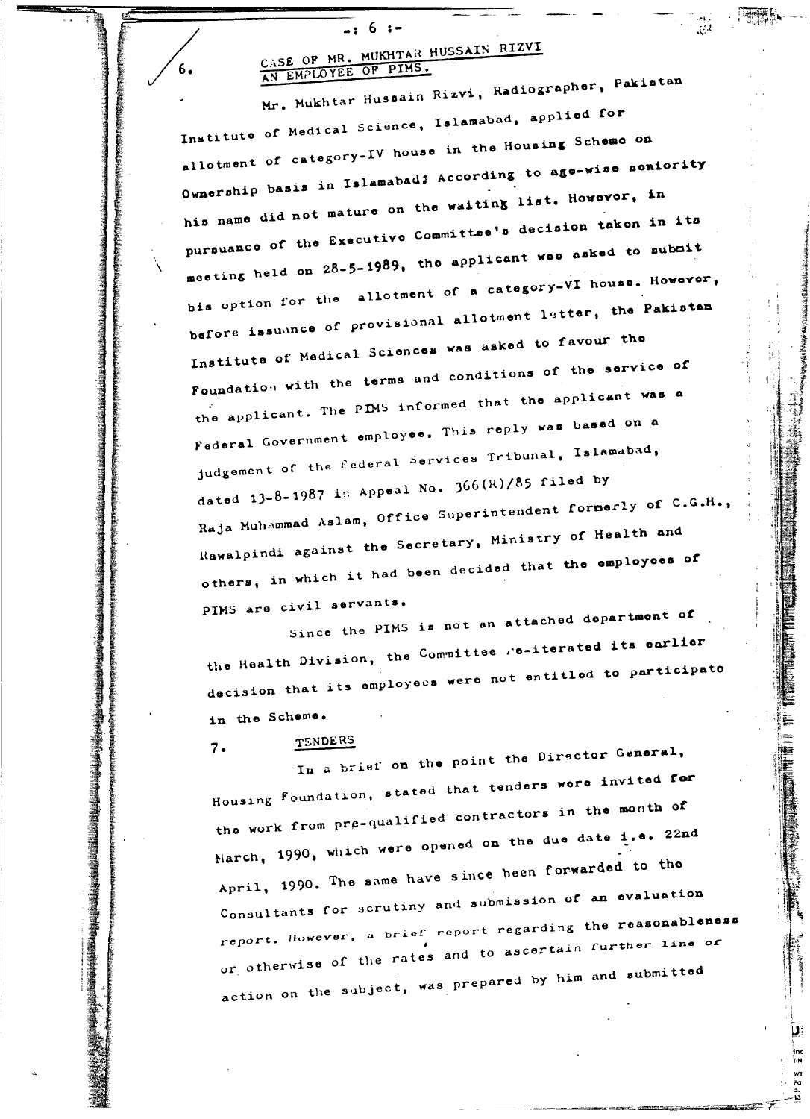## CASE OF MR. MUKHTAR HUSSAIN RIZVI AN EMPLOYEE OF PINS.

 $6 : -$ 

 $\overline{\phantom{a}}$ 

 $6.$ 

Mr. Mukhtar Hussain Rizvi, Radiographer, Pakistan Institute of Medical Science, Islamabad, applied for allotment of category-IV house in the Housing Scheme on Ownership basis in Islamabad; According to age-wise seniority his name did not mature on the waiting list. However, in pursuance of the Executive Committee's decision taken in its meeting held on 28-5-1989, the applicant was asked to submit bis option for the allotment of a category-VI house. However, before issuance of provisional allotment letter, the Pakistan Institute of Medical Sciences was asked to favour the Foundation with the terms and conditions of the service of .<br>the applicant. The PIMS informed that the applicant was a Federal Government employee. This reply was based on a judgement of the Federal Services Tribunal, Islamabad, dated  $13-8-1987$  in Appeal No.  $366(R)/85$  filed by Raja Muhammad Aslam, Office Superintendent formerly of C.G.H., Rawalpindi against the Secretary, Ministry of Health and others, in which it had been decided that the employees of PIMS are civil servants.

Since the PIMS is not an attached department of the Health Division, the Committee se-iterated its earlier decision that its employees were not entitled to participate in the Scheme.

TENDERS  $7.$ 

In a brief on the point the Director General, Housing Foundation, stated that tenders were invited for the work from pre-qualified contractors in the month of March, 1990, which were opened on the due date i.e. 22nd April, 1990. The same have since been forwarded to the Consultants for scrutiny and submission of an evaluation report. However, a brief report regarding the reasonableness or otherwise of the rates and to ascertain further line or action on the subject, was prepared by him and submitted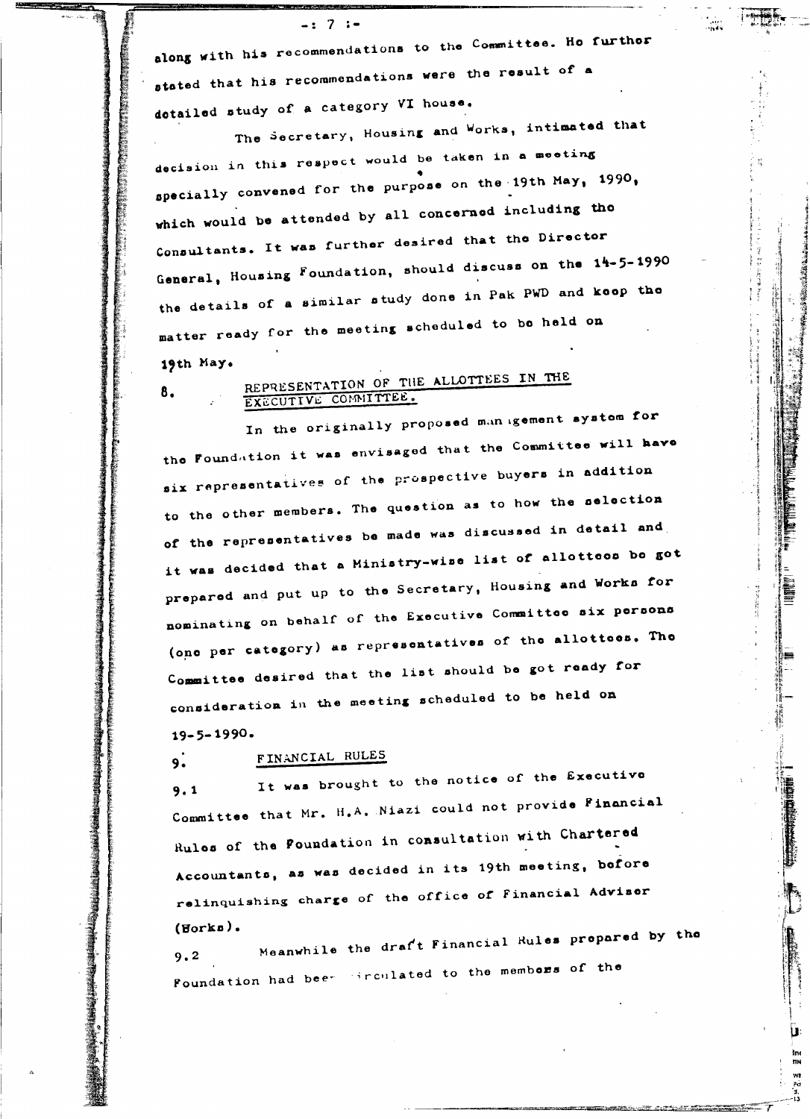along with his recommendations to the Committee. Ho furthor stated that his recommendations were the result of a dotailed study of a category VI house.

 $-: 7 : -$ 

The Secretary, Housing and Works, intimated that decision in this respect would be taken in a meeting specially convened for the purpose on the 19th May, 1990, which would be attended by all concerned including the Consultants. It was further desired that the Director General, Housing Foundation, should discuss on the 14-5-1990 the details of a similar study done in Pak PWD and koop the matter ready for the meeting scheduled to be held on 19th May.

## REPRESENTATION OF THE ALLOTTEES IN THE EXECUTIVE COMMITTEE.

In the originally proposed management system for the Foundation it was envisaged that the Committee will have six representatives of the prospective buyers in addition to the other members. The question as to how the selection of the representatives be made was discussed in detail and it was decided that a Ministry-wise list of allottees be got prepared and put up to the Secretary, Housing and Works for nominating on behalf of the Executive Committee six persons (one per category) as representatives of the allottees. The Committee desired that the list should be got ready for consideration in the meeting scheduled to be held on  $19 - 5 - 1990.$ 

Ê

#### FINANCIAL RULES  $9.$

8.

It was brought to the notice of the Executive  $9.1$ Committee that Mr. H.A. Niazi could not provide Financial Rules of the Poundation in consultation with Chartered Accountants, as was decided in its 19th meeting, before relinquishing charge of the office of Financial Advisor  $(Borka)$ .

Meanwhile the draft Financial Rules prepared by the  $9.2$ Foundation had been irrculated to the members of the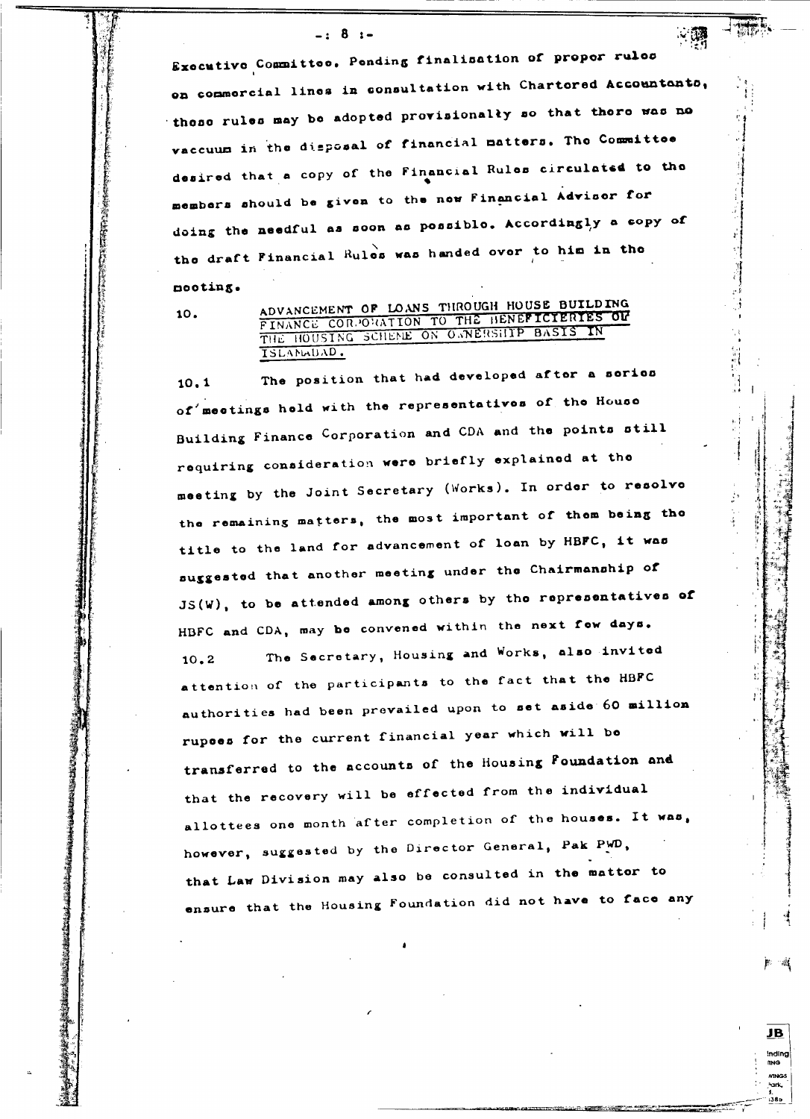#### $-: 8: -$

Executive Committee. Pending finalisation of proper rules on commercial lines in consultation with Chartered Accountants, these rules may be adopted provisionally so that there was no vaccuum in the disposal of financial matters. The Committee desired that a copy of the Financial Rules circulated to the members should be given to the new Financial Advisor for doing the needful as soon as possible. Accordingly a copy of the draft Financial Rules was handed over to him in the nooting.

10.

ADVANCEMENT OF LOANS THROUGH HOUSE BUILDING FINANCE CORPORATION TO THE HENEFICTERTES OF ISLANWUAD.

The position that had developed after a series  $10.1$ of meetings held with the representatives of the House Building Finance Corporation and CDA and the points still requiring consideration were briefly explained at the meeting by the Joint Secretary (Works). In order to resolve the remaining matters, the most important of them being the title to the land for advancement of loan by HBFC, it was suggested that another meeting under the Chairmanship of JS(W), to be attended among others by the representatives of HBFC and CDA, may be convened within the next fow days. The Secretary, Housing and Works, also invited  $10.2$ attention of the participants to the fact that the HBFC authorities had been prevailed upon to set aside 60 million rupees for the current financial year which will be transferred to the accounts of the Housing Foundation and that the recovery will be effected from the individual allottees one month after completion of the houses. It was, however, suggested by the Director General, Pak PWD, that Law Division may also be consulted in the mattor to ensure that the Housing Foundation did not have to face any

> <u>JB</u> inding **MNG**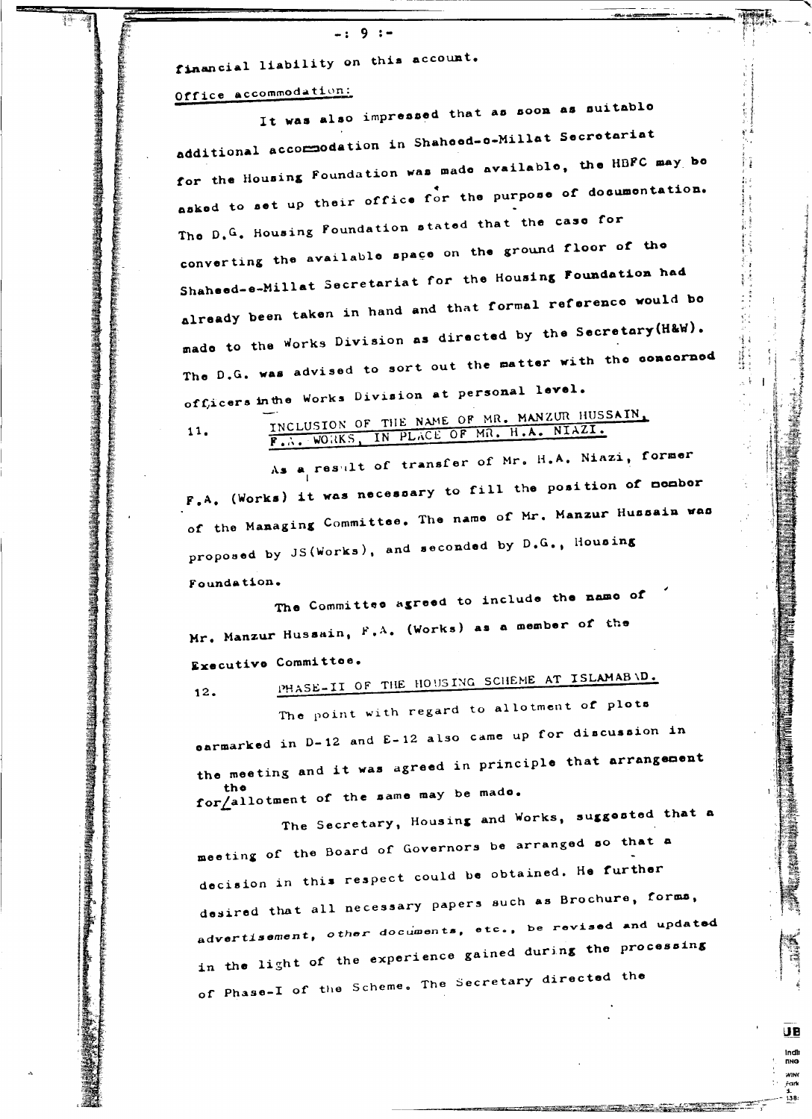financial liability on this account.

## Office accommodation:

**清潔 医皮膜膜炎 医心包膜炎 医心包膜炎 医心包膜炎 医心包膜炎 医心包膜炎 医心包膜炎 医心包膜炎 医心包膜炎 医心包膜炎 医心包膜炎 医心包膜炎 医心包膜炎 医心包膜炎 医心包膜炎 医心包膜炎 医心包膜炎 医心包膜炎** 

 $11.$ 

It was also impressed that as soon as suitable additional accommodation in Shahoed-o-Millat Secretariat for the Housing Foundation was made available, the HBFC may be asked to set up their office for the purpose of documentation. The D.G. Housing Foundation stated that the case for converting the available space on the ground floor of the Shaheed-e-Millat Secretariat for the Housing Foundation had already been taken in hand and that formal reference would be made to the Works Division as directed by the Secretary (H&W). The D.G. was advised to sort out the matter with the concerned officers in the Works Division at personal level.

INCLUSION OF THE NAME OF MR. MANZUR HUSSAIN, F.A. WORKS, IN PLACE OF MR. H.A. NIAZI.

As a result of transfer of Mr. H.A. Niazi, former F.A. (Works) it was necessary to fill the position of mombor of the Managing Committee. The name of Mr. Manzur Hussain was proposed by JS(Works), and seconded by D.G., Housing Foundation.

The Committee agreed to include the name of Mr. Manzur Hussain, F.A. (Works) as a member of the Executive Committee.

PHASE-II OF THE HOUSING SCHEME AT ISLAMAB \D.  $12.$ The point with regard to allotment of plots

carmarked in D-12 and E-12 also came up for discussion in the meeting and it was agreed in principle that arrangement for allotment of the same may be mado.

The Secretary, Housing and Works, suggested that a meeting of the Board of Governors be arranged so that a decision in this respect could be obtained. He further desired that all necessary papers such as Brochure, forms, advertisement, other documents, etc., be revised and updated in the light of the experience gained during the processing of Phase-I of the Scheme. The Secretary directed the

> UB indlı<br>nnə